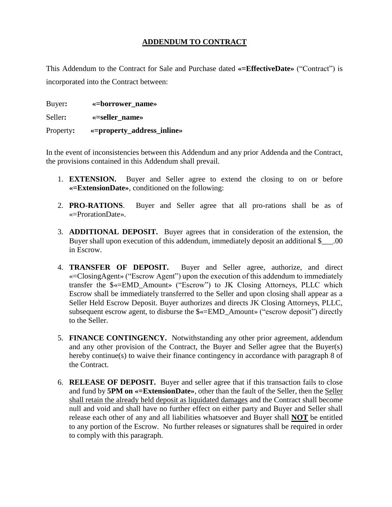## **ADDENDUM TO CONTRACT**

This Addendum to the Contract for Sale and Purchase dated **«=EffectiveDate»** ("Contract") is incorporated into the Contract between:

Buyer**: «=borrower\_name»** Seller**: «=seller\_name»** Property**: «=property\_address\_inline»**

In the event of inconsistencies between this Addendum and any prior Addenda and the Contract, the provisions contained in this Addendum shall prevail.

- 1. **EXTENSION.** Buyer and Seller agree to extend the closing to on or before **«=ExtensionDate»**, conditioned on the following:
- 2. **PRO-RATIONS**. Buyer and Seller agree that all pro-rations shall be as of «=ProrationDate».
- 3. **ADDITIONAL DEPOSIT.** Buyer agrees that in consideration of the extension, the Buyer shall upon execution of this addendum, immediately deposit an additional \$\_\_\_.00 in Escrow.
- 4. **TRANSFER OF DEPOSIT.** Buyer and Seller agree, authorize, and direct «=ClosingAgent» ("Escrow Agent") upon the execution of this addendum to immediately transfer the \$«=EMD\_Amount» ("Escrow") to JK Closing Attorneys, PLLC which Escrow shall be immediately transferred to the Seller and upon closing shall appear as a Seller Held Escrow Deposit. Buyer authorizes and directs JK Closing Attorneys, PLLC, subsequent escrow agent, to disburse the \$«=EMD\_Amount» ("escrow deposit") directly to the Seller.
- 5. **FINANCE CONTINGENCY.** Notwithstanding any other prior agreement, addendum and any other provision of the Contract, the Buyer and Seller agree that the Buyer(s) hereby continue(s) to waive their finance contingency in accordance with paragraph 8 of the Contract.
- 6. **RELEASE OF DEPOSIT.** Buyer and seller agree that if this transaction fails to close and fund by **5PM on «=ExtensionDate»**, other than the fault of the Seller, then the Seller shall retain the already held deposit as liquidated damages and the Contract shall become null and void and shall have no further effect on either party and Buyer and Seller shall release each other of any and all liabilities whatsoever and Buyer shall **NOT** be entitled to any portion of the Escrow. No further releases or signatures shall be required in order to comply with this paragraph.